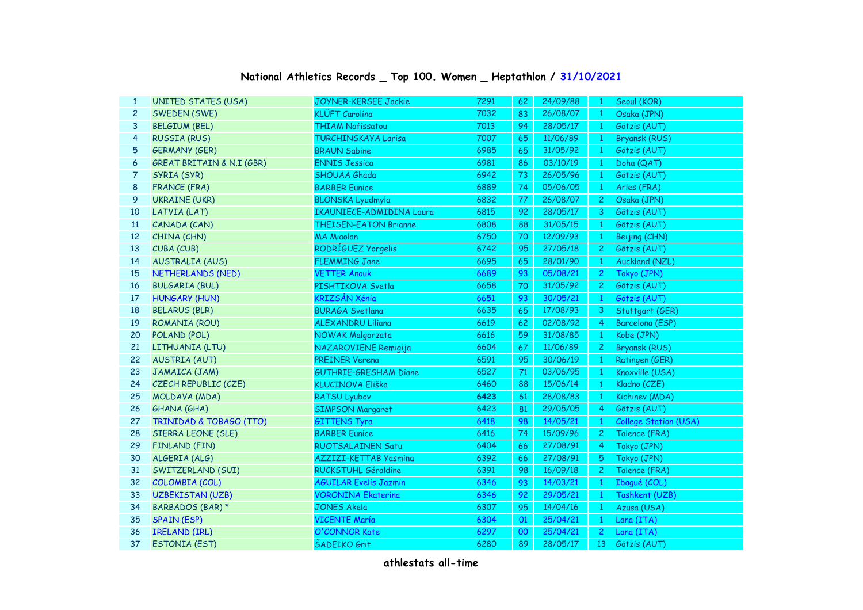## **National Athletics Records \_ Top 100. Women \_ Heptathlon / 31/10/2021**

| $\mathbf{1}$   | <b>UNITED STATES (USA)</b>         | <b>JOYNER-KERSEE Jackie</b>     | 7291 | 62     | 24/09/88 | $\mathbf{1}$   | Seoul (KOR)                  |
|----------------|------------------------------------|---------------------------------|------|--------|----------|----------------|------------------------------|
| $\overline{c}$ | SWEDEN (SWE)                       | <b>KLÜFT Carolina</b>           | 7032 | 83     | 26/08/07 | $\mathbf{1}$   | Osaka (JPN)                  |
| 3              | <b>BELGIUM (BEL)</b>               | <b>THIAM Nafissatou</b>         | 7013 | 94     | 28/05/17 | $\mathbf{1}$   | Götzis (AUT)                 |
| 4              | <b>RUSSIA (RUS)</b>                | <b>TURCHINSKAYA Larisa</b>      | 7007 | 65     | 11/06/89 | $\mathbf{1}$   | <b>Bryansk (RUS)</b>         |
| 5              | <b>GERMANY (GER)</b>               | <b>BRAUN Sabine</b>             | 6985 | 65     | 31/05/92 | -1             | Götzis (AUT)                 |
| 6              | GREAT BRITAIN & N.I (GBR)          | <b>ENNIS Jessica</b>            | 6981 | 86     | 03/10/19 | $\mathbf{1}$   | Doha (QAT)                   |
| 7              | SYRIA (SYR)                        | SHOUAA Ghada                    | 6942 | $73\,$ | 26/05/96 | $\mathbf{1}$   | Götzis (AUT)                 |
| 8              | <b>FRANCE (FRA)</b>                | <b>BARBER Eunice</b>            | 6889 | 74     | 05/06/05 | $\mathbf{1}$   | Arles (FRA)                  |
| 9              | <b>UKRAINE (UKR)</b>               | <b>BLONSKA Lyudmyla</b>         | 6832 | 77     | 26/08/07 | $\overline{c}$ | Osaka (JPN)                  |
| 10             | LATVIA (LAT)                       | <b>IKAUNIECE-ADMIDINA Laura</b> | 6815 | 92     | 28/05/17 | 3              | Götzis (AUT)                 |
| 11             | CANADA (CAN)                       | <b>THEISEN-EATON Brianne</b>    | 6808 | 88     | 31/05/15 | $\mathbf{1}$   | Götzis (AUT)                 |
| 12             | CHINA (CHN)                        | <b>MA Miaolan</b>               | 6750 | 70     | 12/09/93 | $\mathbf{1}$   | Beijing (CHN)                |
| 13             | CUBA (CUB)                         | RODRÍGUEZ Yorgelis              | 6742 | 95     | 27/05/18 | $\mathbf{2}$   | Götzis (AUT)                 |
| 14             | <b>AUSTRALIA (AUS)</b>             | <b>FLEMMING Jane</b>            | 6695 | 65     | 28/01/90 | $\mathbf{1}$   | Auckland (NZL)               |
| 15             | NETHERLANDS (NED)                  | <b>VETTER Anouk</b>             | 6689 | 93     | 05/08/21 | $\overline{2}$ | Tokyo (JPN)                  |
| 16             | <b>BULGARIA (BUL)</b>              | PISHTIKOVA Svetla               | 6658 | $70\,$ | 31/05/92 | $\mathbf{2}$   | Götzis (AUT)                 |
| 17             | <b>HUNGARY (HUN)</b>               | KRIZSÁN Xénia                   | 6651 | 93     | 30/05/21 | $\sqrt{1}$     | Götzis (AUT)                 |
| 18             | <b>BELARUS (BLR)</b>               | <b>BURAGA Svetlana</b>          | 6635 | 65     | 17/08/93 | 3 <sup>7</sup> | Stuttgart (GER)              |
| 19             | ROMANIA (ROU)                      | <b>ALEXANDRU Liliana</b>        | 6619 | 62     | 02/08/92 | $\overline{4}$ | Barcelona (ESP)              |
| 20             | POLAND (POL)                       | NOWAK Malgorzata                | 6616 | 59     | 31/08/85 | $\mathbf{1}$   | Kobe (JPN)                   |
| 21             | LITHUANIA (LTU)                    | NAZAROVIENE Remigija            | 6604 | 67     | 11/06/89 | $2^{\circ}$    | <b>Bryansk (RUS)</b>         |
| 22             | <b>AUSTRIA (AUT)</b>               | <b>PREINER Verena</b>           | 6591 | 95     | 30/06/19 | $\mathbf{1}$   | Ratingen (GER)               |
| 23             | JAMAICA (JAM)                      | <b>GUTHRIE-GRESHAM Diane</b>    | 6527 | 71     | 03/06/95 | $\mathbf{1}$   | Knoxville (USA)              |
| 24             | CZECH REPUBLIC (CZE)               | KLUCINOVA Eliška                | 6460 | 88     | 15/06/14 | $\mathbf{1}$   | Kladno (CZE)                 |
| 25             | MOLDAVA (MDA)                      | <b>RATSU Lyubov</b>             | 6423 | 61     | 28/08/83 | $\vert$ 1      | Kichinev (MDA)               |
| 26             | GHANA (GHA)                        | <b>SIMPSON Margaret</b>         | 6423 | 81     | 29/05/05 | $\overline{4}$ | Götzis (AUT)                 |
| 27             | <b>TRINIDAD &amp; TOBAGO (TTO)</b> | <b>GITTENS Tyra</b>             | 6418 | 98     | 14/05/21 | $\mathbf{1}$   | <b>College Station (USA)</b> |
| 28             | SIERRA LEONE (SLE)                 | <b>BARBER Eunice</b>            | 6416 | 74     | 15/09/96 | $\mathbf{2}$   | Talence (FRA)                |
| 29             | FINLAND (FIN)                      | <b>RUOTSALAINEN Satu</b>        | 6404 | 66     | 27/08/91 | $\overline{4}$ | Tokyo (JPN)                  |
| 30             | ALGERIA (ALG)                      | <b>AZZIZI-KETTAB Yasmina</b>    | 6392 | 66     | 27/08/91 | 5              | Tokyo (JPN)                  |
| 31             | SWITZERLAND (SUI)                  | RUCKSTUHL Géraldine             | 6391 | 98     | 16/09/18 | $\overline{2}$ | Talence (FRA)                |
| 32             | COLOMBIA (COL)                     | <b>AGUILAR Evelis Jazmin</b>    | 6346 | 93     | 14/03/21 | $\mathbf{1}$   | Ibagué (COL)                 |
| 33             | <b>UZBEKISTAN (UZB)</b>            | <b>VORONINA Ekaterina</b>       | 6346 | 92     | 29/05/21 | $\mathbf{1}$   | Tashkent (UZB)               |
| 34             | BARBADOS (BAR) *                   | <b>JONES Akela</b>              | 6307 | 95     | 14/04/16 | $\mathbf{1}$   | Azusa (USA)                  |
| 35             | <b>SPAIN (ESP)</b>                 | <b>VICENTE María</b>            | 6304 | 01     | 25/04/21 | $\mathbf{1}$   | Lana (ITA)                   |
| 36             | <b>IRELAND (IRL)</b>               | O'CONNOR Kate                   | 6297 | 00     | 25/04/21 | $\overline{2}$ | Lana (ITA)                   |
| 37             | <b>ESTONIA (EST)</b>               | <b>ŠADEIKO Grit</b>             | 6280 | 89     | 28/05/17 | 13             | Götzis (AUT)                 |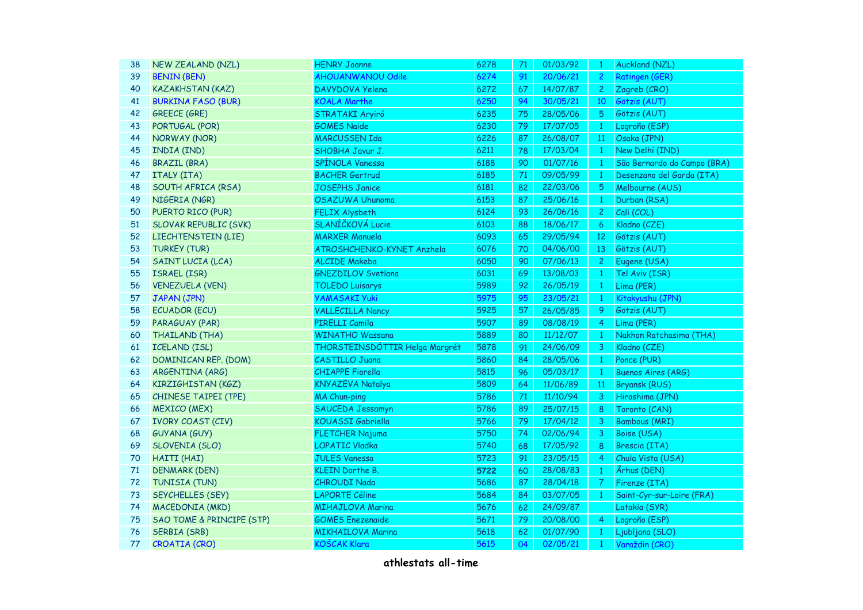| 38 | <b>NEW ZEALAND (NZL)</b>             | <b>HENRY Joanne</b>            | 6278 | 71 | 01/03/92 | $\mathbf{1}$    | <b>Auckland (NZL)</b>       |
|----|--------------------------------------|--------------------------------|------|----|----------|-----------------|-----------------------------|
| 39 | <b>BENIN (BEN)</b>                   | <b>AHOUANWANOU Odile</b>       | 6274 | 91 | 20/06/21 | $\mathbf{2}$    | <b>Ratingen (GER)</b>       |
| 40 | <b>KAZAKHSTAN (KAZ)</b>              | DAVYDOVA Yelena                | 6272 | 67 | 14/07/87 | 2 <sup>1</sup>  | Zagreb (CRO)                |
| 41 | <b>BURKINA FASO (BUR)</b>            | <b>KOALA Marthe</b>            | 6250 | 94 | 30/05/21 | 10              | Götzis (AUT)                |
| 42 | <b>GREECE (GRE)</b>                  | STRATAKI Aryiró                | 6235 | 75 | 28/05/06 | 5               | Götzis (AUT)                |
| 43 | PORTUGAL (POR)                       | <b>GOMES Naide</b>             | 6230 | 79 | 17/07/05 | $\mathbf{1}$    | Logroño (ESP)               |
| 44 | NORWAY (NOR)                         | <b>MARCUSSEN Ida</b>           | 6226 | 87 | 26/08/07 | 11 <sup>°</sup> | Osaka (JPN)                 |
| 45 | INDIA (IND)                          | SHOBHA Javur J.                | 6211 | 78 | 17/03/04 | $\mathbf{1}$    | New Delhi (IND)             |
| 46 | <b>BRAZIL (BRA)</b>                  | SPÍNOLA Vanessa                | 6188 | 90 | 01/07/16 | $\overline{1}$  | São Bernardo do Campo (BRA) |
| 47 | ITALY (ITA)                          | <b>BACHER Gertrud</b>          | 6185 | 71 | 09/05/99 | $\mathbf{1}$    | Desenzano del Garda (ITA)   |
| 48 | SOUTH AFRICA (RSA)                   | <b>JOSEPHS Janice</b>          | 6181 | 82 | 22/03/06 | 5               | Melbourne (AUS)             |
| 49 | NIGERIA (NGR)                        | OSAZUWA Uhunoma                | 6153 | 87 | 25/06/16 | $\mathbf{1}$    | Durban (RSA)                |
| 50 | PUERTO RICO (PUR)                    | <b>FELIX Alysbeth</b>          | 6124 | 93 | 26/06/16 | $\mathbf{2}$    | Cali (COL)                  |
| 51 | <b>SLOVAK REPUBLIC (SVK)</b>         | SLANÍČKOVÁ Lucie               | 6103 | 88 | 18/06/17 | 6               | Kladno (CZE)                |
| 52 | LIECHTENSTEIN (LIE)                  | <b>MARXER Manuela</b>          | 6093 | 65 | 29/05/94 | 12 <sup>2</sup> | Götzis (AUT)                |
| 53 | <b>TURKEY (TUR)</b>                  | ATROSHCHENKO-KYNET Anzhela     | 6076 | 70 | 04/06/00 | 13              | Götzis (AUT)                |
| 54 | <b>SAINT LUCIA (LCA)</b>             | <b>ALCIDE Makeba</b>           | 6050 | 90 | 07/06/13 | $\mathbf{2}$    | Eugene (USA)                |
| 55 | ISRAEL (ISR)                         | <b>GNEZDILOV Svetlana</b>      | 6031 | 69 | 13/08/03 | $\mathbf{1}$    | Tel Aviv (ISR)              |
| 56 | <b>VENEZUELA (VEN)</b>               | <b>TOLEDO Luisarys</b>         | 5989 | 92 | 26/05/19 | $\mathbf{1}$    | Lima (PER)                  |
| 57 | JAPAN (JPN)                          | <b>YAMASAKI Yuki</b>           | 5975 | 95 | 23/05/21 | $\mathbf{1}$    | Kitakyushu (JPN)            |
| 58 | <b>ECUADOR (ECU)</b>                 | <b>VALLECILLA Nancy</b>        | 5925 | 57 | 26/05/85 | 9               | Götzis (AUT)                |
| 59 | PARAGUAY (PAR)                       | PIRELLI Camila                 | 5907 | 89 | 08/08/19 | 4               | Lima (PER)                  |
| 60 | THAILAND (THA)                       | <b>WINATHO Wassana</b>         | 5889 | 80 | 11/12/07 | $\mathbf{1}$    | Nakhon Ratchasima (THA)     |
| 61 | <b>ICELAND (ISL)</b>                 | THORSTEINSDÓTTIR Helga Margrét | 5878 | 91 | 24/06/09 | $\overline{3}$  | Kladno (CZE)                |
| 62 | DOMINICAN REP. (DOM)                 | <b>CASTILLO Juana</b>          | 5860 | 84 | 28/05/06 | $\overline{1}$  | Ponce (PUR)                 |
| 63 | ARGENTINA (ARG)                      | <b>CHIAPPE Fiorella</b>        | 5815 | 96 | 05/03/17 | $\mathbf{1}$    | <b>Buenos Aires (ARG)</b>   |
| 64 | KIRZIGHISTAN (KGZ)                   | KNYAZEVA Natalya               | 5809 | 64 | 11/06/89 | 11 <sup>°</sup> | <b>Bryansk (RUS)</b>        |
| 65 | CHINESE TAIPEI (TPE)                 | <b>MA Chun-ping</b>            | 5786 | 71 | 11/10/94 | 3               | Hiroshima (JPN)             |
| 66 | <b>MEXICO (MEX)</b>                  | SAUCEDA Jessamyn               | 5786 | 89 | 25/07/15 | 8               | Toronto (CAN)               |
| 67 | <b>IVORY COAST (CIV)</b>             | KOUASSI Gabriella              | 5766 | 79 | 17/04/12 | 3               | <b>Bambous (MRI)</b>        |
| 68 | <b>GUYANA (GUY)</b>                  | <b>FLETCHER Najuma</b>         | 5750 | 74 | 02/06/94 | 3               | Boise (USA)                 |
| 69 | SLOVENIA (SLO)                       | LOPATIC Vladka                 | 5740 | 68 | 17/05/92 | $8\phantom{1}$  | Brescia (ITA)               |
| 70 | HAITI (HAI)                          | <b>JULES Vanessa</b>           | 5723 | 91 | 23/05/15 | $\overline{4}$  | Chula Vista (USA)           |
| 71 | <b>DENMARK (DEN)</b>                 | <b>KLEIN Dorthe B.</b>         | 5722 | 60 | 28/08/83 | $\mathbf{1}$    | Århus (DEN)                 |
| 72 | TUNISIA (TUN)                        | <b>CHROUDI Nada</b>            | 5686 | 87 | 28/04/18 | $\mathcal{T}$   | Firenze (ITA)               |
| 73 | SEYCHELLES (SEY)                     | <b>LAPORTE Céline</b>          | 5684 | 84 | 03/07/05 | $\mathbf{1}$    | Saint-Cyr-sur-Loire (FRA)   |
| 74 | MACEDONIA (MKD)                      | <b>MIHAJLOVA Marina</b>        | 5676 | 62 | 24/09/87 |                 | Latakia (SYR)               |
| 75 | <b>SAO TOME &amp; PRINCIPE (STP)</b> | <b>GOMES</b> Enezenaide        | 5671 | 79 | 20/08/00 | 4               | Logroño (ESP)               |
| 76 | <b>SERBIA (SRB)</b>                  | <b>MIKHAILOVA Marina</b>       | 5618 | 62 | 01/07/90 | $\mathbf{1}$    | Ljubljana (SLO)             |
| 77 | CROATIA (CRO)                        | KOŠCAK Klara                   | 5615 | 04 | 02/05/21 | $\mathbf{1}$    | Varaždin (CRO)              |